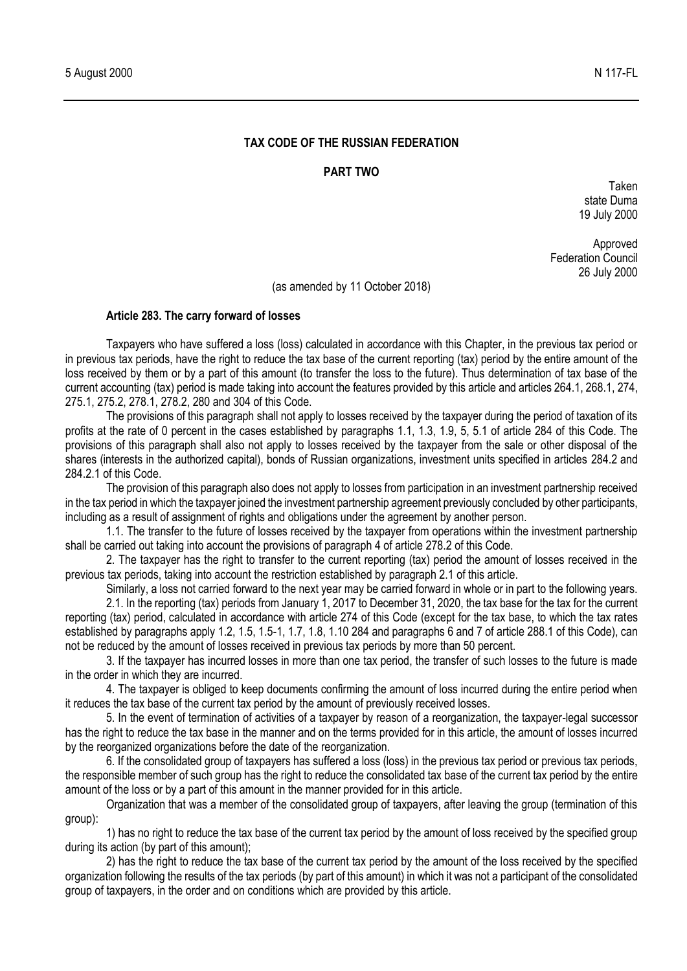### **TAX CODE OF THE RUSSIAN FEDERATION**

# **PART TWO**

Taken state Duma 19 July 2000

Approved Federation Council 26 July 2000

(as amended by 11 October 2018)

#### **Article 283. The carry forward of losses**

Taxpayers who have suffered a loss (loss) calculated in accordance with this Chapter, in the previous tax period or in previous tax periods, have the right to reduce the tax base of the current reporting (tax) period by the entire amount of the loss received by them or by a part of this amount (to transfer the loss to the future). Thus determination of tax base of the current accounting (tax) period is made taking into account the features provided by this article and articles 264.1, 268.1, 274, 275.1, 275.2, 278.1, 278.2, 280 and 304 of this Code.

The provisions of this paragraph shall not apply to losses received by the taxpayer during the period of taxation of its profits at the rate of 0 percent in the cases established by paragraphs 1.1, 1.3, 1.9, 5, 5.1 of article 284 of this Code. The provisions of this paragraph shall also not apply to losses received by the taxpayer from the sale or other disposal of the shares (interests in the authorized capital), bonds of Russian organizations, investment units specified in articles 284.2 and 284.2.1 of this Code.

The provision of this paragraph also does not apply to losses from participation in an investment partnership received in the tax period in which the taxpayer joined the investment partnership agreement previously concluded by other participants, including as a result of assignment of rights and obligations under the agreement by another person.

1.1. The transfer to the future of losses received by the taxpayer from operations within the investment partnership shall be carried out taking into account the provisions of paragraph 4 of article 278.2 of this Code.

2. The taxpayer has the right to transfer to the current reporting (tax) period the amount of losses received in the previous tax periods, taking into account the restriction established by paragraph 2.1 of this article.

Similarly, a loss not carried forward to the next year may be carried forward in whole or in part to the following years.

2.1. In the reporting (tax) periods from January 1, 2017 to December 31, 2020, the tax base for the tax for the current reporting (tax) period, calculated in accordance with article 274 of this Code (except for the tax base, to which the tax rates established by paragraphs apply 1.2, 1.5, 1.5-1, 1.7, 1.8, 1.10 284 and paragraphs 6 and 7 of article 288.1 of this Code), can not be reduced by the amount of losses received in previous tax periods by more than 50 percent.

3. If the taxpayer has incurred losses in more than one tax period, the transfer of such losses to the future is made in the order in which they are incurred.

4. The taxpayer is obliged to keep documents confirming the amount of loss incurred during the entire period when it reduces the tax base of the current tax period by the amount of previously received losses.

5. In the event of termination of activities of a taxpayer by reason of a reorganization, the taxpayer-legal successor has the right to reduce the tax base in the manner and on the terms provided for in this article, the amount of losses incurred by the reorganized organizations before the date of the reorganization.

6. If the consolidated group of taxpayers has suffered a loss (loss) in the previous tax period or previous tax periods, the responsible member of such group has the right to reduce the consolidated tax base of the current tax period by the entire amount of the loss or by a part of this amount in the manner provided for in this article.

Organization that was a member of the consolidated group of taxpayers, after leaving the group (termination of this group):

1) has no right to reduce the tax base of the current tax period by the amount of loss received by the specified group during its action (by part of this amount);

2) has the right to reduce the tax base of the current tax period by the amount of the loss received by the specified organization following the results of the tax periods (by part of this amount) in which it was not a participant of the consolidated group of taxpayers, in the order and on conditions which are provided by this article.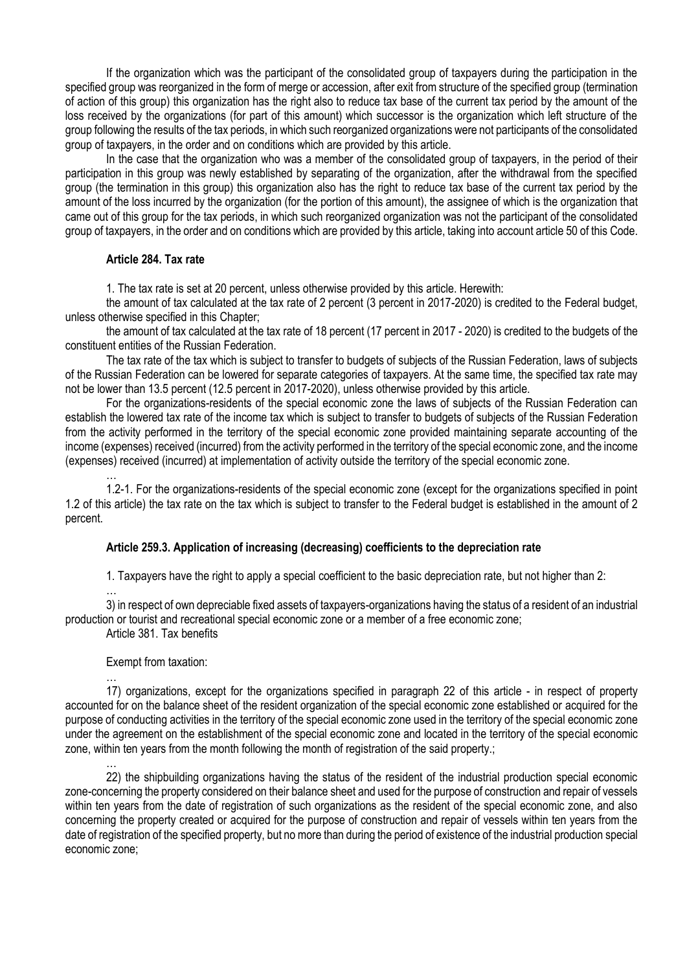If the organization which was the participant of the consolidated group of taxpayers during the participation in the specified group was reorganized in the form of merge or accession, after exit from structure of the specified group (termination of action of this group) this organization has the right also to reduce tax base of the current tax period by the amount of the loss received by the organizations (for part of this amount) which successor is the organization which left structure of the group following the results of the tax periods, in which such reorganized organizations were not participants of the consolidated group of taxpayers, in the order and on conditions which are provided by this article.

In the case that the organization who was a member of the consolidated group of taxpayers, in the period of their participation in this group was newly established by separating of the organization, after the withdrawal from the specified group (the termination in this group) this organization also has the right to reduce tax base of the current tax period by the amount of the loss incurred by the organization (for the portion of this amount), the assignee of which is the organization that came out of this group for the tax periods, in which such reorganized organization was not the participant of the consolidated group of taxpayers, in the order and on conditions which are provided by this article, taking into account article 50 of this Code.

### **Article 284. Tax rate**

1. The tax rate is set at 20 percent, unless otherwise provided by this article. Herewith:

the amount of tax calculated at the tax rate of 2 percent (3 percent in 2017-2020) is credited to the Federal budget, unless otherwise specified in this Chapter;

the amount of tax calculated at the tax rate of 18 percent (17 percent in 2017 - 2020) is credited to the budgets of the constituent entities of the Russian Federation.

The tax rate of the tax which is subject to transfer to budgets of subjects of the Russian Federation, laws of subjects of the Russian Federation can be lowered for separate categories of taxpayers. At the same time, the specified tax rate may not be lower than 13.5 percent (12.5 percent in 2017-2020), unless otherwise provided by this article.

For the organizations-residents of the special economic zone the laws of subjects of the Russian Federation can establish the lowered tax rate of the income tax which is subject to transfer to budgets of subjects of the Russian Federation from the activity performed in the territory of the special economic zone provided maintaining separate accounting of the income (expenses) received (incurred) from the activity performed in the territory of the special economic zone, and the income (expenses) received (incurred) at implementation of activity outside the territory of the special economic zone.

… 1.2-1. For the organizations-residents of the special economic zone (except for the organizations specified in point 1.2 of this article) the tax rate on the tax which is subject to transfer to the Federal budget is established in the amount of 2 percent.

### **Article 259.3. Application of increasing (decreasing) coefficients to the depreciation rate**

1. Taxpayers have the right to apply a special coefficient to the basic depreciation rate, but not higher than 2:

… 3) in respect of own depreciable fixed assets of taxpayers-organizations having the status of a resident of an industrial production or tourist and recreational special economic zone or a member of a free economic zone;

Article 381. Tax benefits

#### Exempt from taxation:

…

… 17) organizations, except for the organizations specified in paragraph 22 of this article - in respect of property accounted for on the balance sheet of the resident organization of the special economic zone established or acquired for the purpose of conducting activities in the territory of the special economic zone used in the territory of the special economic zone under the agreement on the establishment of the special economic zone and located in the territory of the special economic zone, within ten years from the month following the month of registration of the said property.;

22) the shipbuilding organizations having the status of the resident of the industrial production special economic zone-concerning the property considered on their balance sheet and used for the purpose of construction and repair of vessels within ten years from the date of registration of such organizations as the resident of the special economic zone, and also concerning the property created or acquired for the purpose of construction and repair of vessels within ten years from the date of registration of the specified property, but no more than during the period of existence of the industrial production special economic zone;